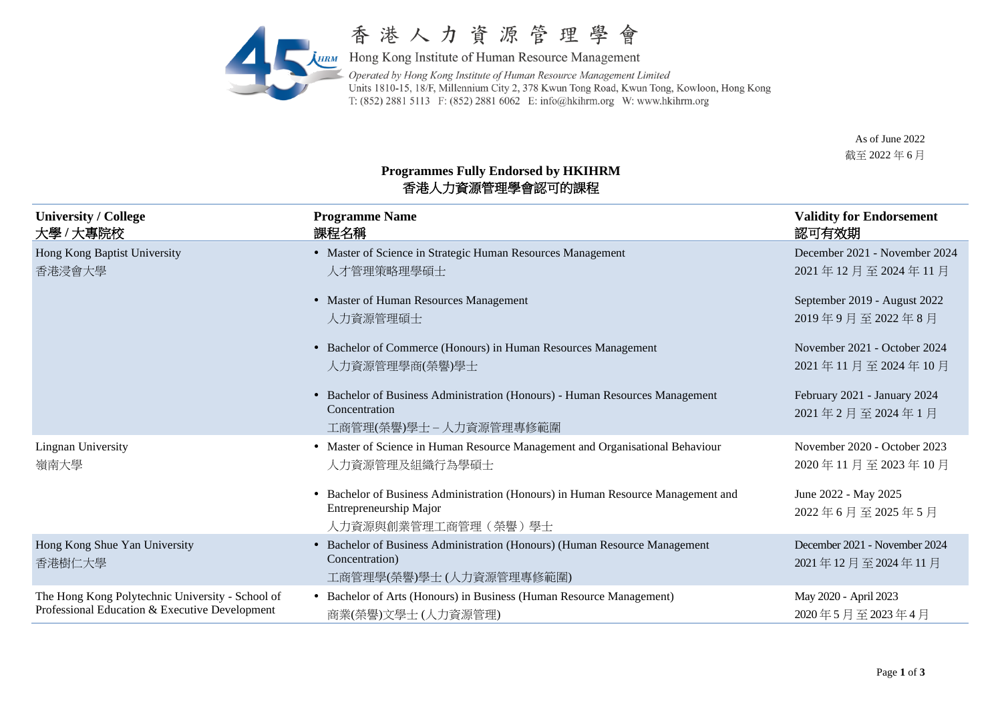

## 香港人力資源管理學會

**AHRM** Hong Kong Institute of Human Resource Management Operated by Hong Kong Institute of Human Resource Management Limited Units 1810-15, 18/F, Millennium City 2, 378 Kwun Tong Road, Kwun Tong, Kowloon, Hong Kong T: (852) 2881 5113 F: (852) 2881 6062 E: info@hkihrm.org W: www.hkihrm.org

> As of June 2022 截至 2022 年 6 月

## **Programmes Fully Endorsed by HKIHRM**  香港人力資源管理學會認可的課程

| <b>University / College</b><br>大學 / 大專院校                                                           | <b>Programme Name</b><br>課程名稱                                                                                                     | <b>Validity for Endorsement</b><br>認可有效期           |
|----------------------------------------------------------------------------------------------------|-----------------------------------------------------------------------------------------------------------------------------------|----------------------------------------------------|
| Hong Kong Baptist University<br>香港浸會大學                                                             | • Master of Science in Strategic Human Resources Management<br>人才管理策略理學碩士                                                         | December 2021 - November 2024<br>2021年12月至2024年11月 |
|                                                                                                    | • Master of Human Resources Management<br>人力資源管理碩士                                                                                | September 2019 - August 2022<br>2019年9月至2022年8月    |
|                                                                                                    | • Bachelor of Commerce (Honours) in Human Resources Management<br>人力資源管理學商(榮譽)學士                                                  | November 2021 - October 2024<br>2021年11月至2024年10月  |
|                                                                                                    | • Bachelor of Business Administration (Honours) - Human Resources Management<br>Concentration<br>工商管理(榮譽)學士 – 人力資源管理專修範圍          | February 2021 - January 2024<br>2021年2月至2024年1月    |
| Lingnan University<br>嶺南大學                                                                         | • Master of Science in Human Resource Management and Organisational Behaviour<br>人力資源管理及組織行為學碩士                                   | November 2020 - October 2023<br>2020年11月至2023年10月  |
|                                                                                                    | • Bachelor of Business Administration (Honours) in Human Resource Management and<br>Entrepreneurship Major<br>人力資源與創業管理工商管理(榮譽)學士 | June 2022 - May 2025<br>2022年6月至2025年5月            |
| Hong Kong Shue Yan University<br>香港樹仁大學                                                            | • Bachelor of Business Administration (Honours) (Human Resource Management<br>Concentration)<br>工商管理學(榮譽)學士(人力資源管理專修範圍)           | December 2021 - November 2024<br>2021年12月至2024年11月 |
| The Hong Kong Polytechnic University - School of<br>Professional Education & Executive Development | • Bachelor of Arts (Honours) in Business (Human Resource Management)<br>商業(榮譽)文學士(人力資源管理)                                         | May 2020 - April 2023<br>2020年5月至2023年4月           |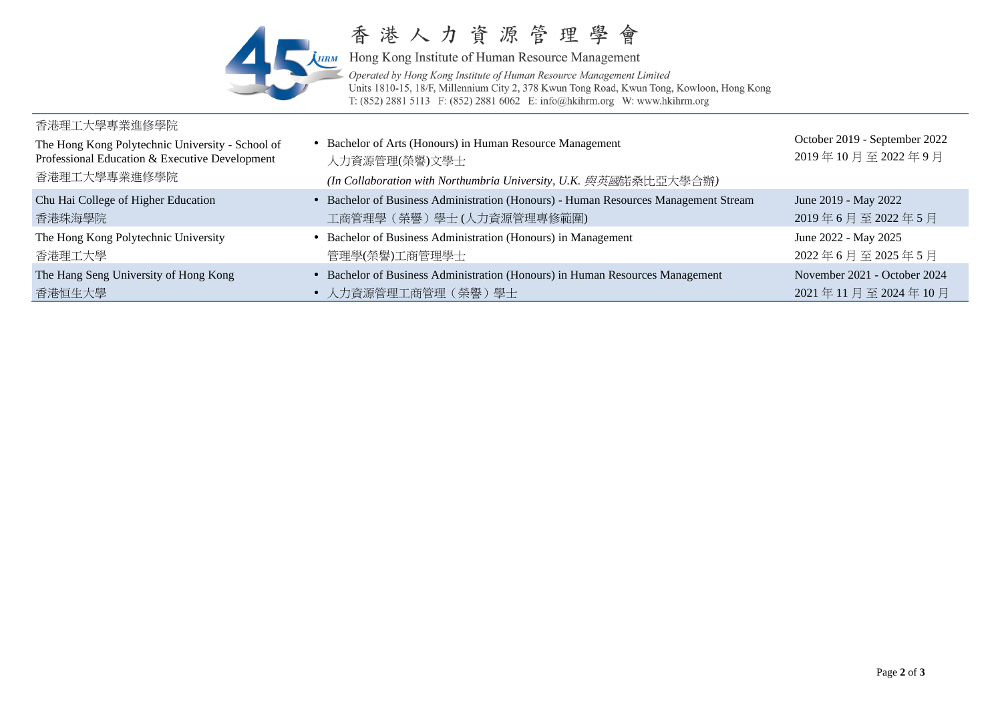

香港人力資源管理學會

**HEM** Hong Kong Institute of Human Resource Management Operated by Hong Kong Institute of Human Resource Management Limited Units 1810-15, 18/F, Millennium City 2, 378 Kwun Tong Road, Kwun Tong, Kowloon, Hong Kong T: (852) 2881 5113 F: (852) 2881 6062 E: info@hkihrm.org W: www.hkihrm.org

#### 香港理工大學專業進修學院 The Hong Kong Polytechnic University - School of Professional Education & Executive Development 香港理工大學專業進修學院 • Bachelor of Arts (Honours) in Human Resource Management 人力資源管理(榮譽)文學士 *(In Collaboration with Northumbria University, U.K.* 與英國諾桑比亞大學合辦*)* October 2019 - September 2022 2019 年 10 月 至 2022 年 9 月 Chu Hai College of Higher Education 香港珠海學院 Bachelor of Business Administration (Honours) - Human Resources Management Stream 工商管理學(榮譽)學士 (人力資源管理專修範圍) June 2019 - May 2022 2019 年 6 月 至 2022 年 5 月 The Hong Kong Polytechnic University 香港理工大學 • Bachelor of Business Administration (Honours) in Management 管理學(榮譽)工商管理學士 June 2022 - May 2025 2022 年 6 月 至 2025 年 5 月 The [Hang Seng University](http://www.hsmc.edu.hk/) of Hong Kong 香港恒生大學 Bachelor of Business Administration (Honours) in Human Resources Management 人力資源管理工商管理(榮譽)學士 November 2021 - October 2024 2021 年 11 月 至 2024 年 10 月